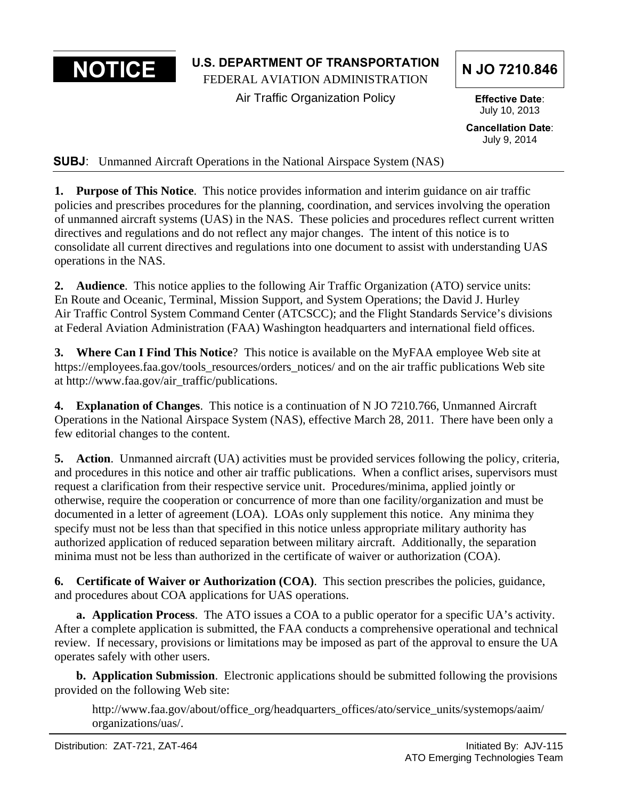**NOTICE** U.S. DEPARTMENT OF TRANSPORTATION N JO 7210.846

Air Traffic Organization Policy **Effective Date**:

July 10, 2013

**Cancellation Date**: July 9, 2014

**SUBJ**: Unmanned Aircraft Operations in the National Airspace System (NAS)

**1. Purpose of This Notice**. This notice provides information and interim guidance on air traffic policies and prescribes procedures for the planning, coordination, and services involving the operation of unmanned aircraft systems (UAS) in the NAS. These policies and procedures reflect current written directives and regulations and do not reflect any major changes. The intent of this notice is to consolidate all current directives and regulations into one document to assist with understanding UAS operations in the NAS.

**2. Audience**. This notice applies to the following Air Traffic Organization (ATO) service units: En Route and Oceanic, Terminal, Mission Support, and System Operations; the David J. Hurley Air Traffic Control System Command Center (ATCSCC); and the Flight Standards Service's divisions at Federal Aviation Administration (FAA) Washington headquarters and international field offices.

**3. Where Can I Find This Notice**? This notice is available on the MyFAA employee Web site at https://employees.faa.gov/tools\_resources/orders\_notices/ and on the air traffic publications Web site at http://www.faa.gov/air\_traffic/publications.

**4. Explanation of Changes**. This notice is a continuation of N JO 7210.766, Unmanned Aircraft Operations in the National Airspace System (NAS), effective March 28, 2011. There have been only a few editorial changes to the content.

**5. Action**. Unmanned aircraft (UA) activities must be provided services following the policy, criteria, and procedures in this notice and other air traffic publications. When a conflict arises, supervisors must request a clarification from their respective service unit. Procedures/minima, applied jointly or otherwise, require the cooperation or concurrence of more than one facility/organization and must be documented in a letter of agreement (LOA). LOAs only supplement this notice. Any minima they specify must not be less than that specified in this notice unless appropriate military authority has authorized application of reduced separation between military aircraft. Additionally, the separation minima must not be less than authorized in the certificate of waiver or authorization (COA).

**6. Certificate of Waiver or Authorization (COA)**. This section prescribes the policies, guidance, and procedures about COA applications for UAS operations.

**a. Application Process**. The ATO issues a COA to a public operator for a specific UA's activity. After a complete application is submitted, the FAA conducts a comprehensive operational and technical review. If necessary, provisions or limitations may be imposed as part of the approval to ensure the UA operates safely with other users.

**b. Application Submission**. Electronic applications should be submitted following the provisions provided on the following Web site:

http://www.faa.gov/about/office\_org/headquarters\_offices/ato/service\_units/systemops/aaim/ organizations/uas/.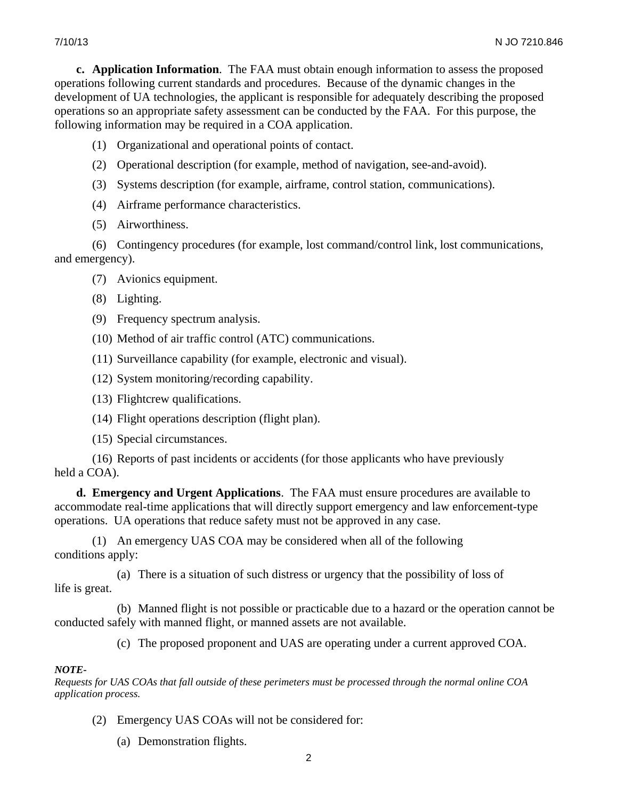**c. Application Information**. The FAA must obtain enough information to assess the proposed operations following current standards and procedures. Because of the dynamic changes in the development of UA technologies, the applicant is responsible for adequately describing the proposed operations so an appropriate safety assessment can be conducted by the FAA. For this purpose, the following information may be required in a COA application.

- (1) Organizational and operational points of contact.
- (2) Operational description (for example, method of navigation, see-and-avoid).
- (3) Systems description (for example, airframe, control station, communications).
- (4) Airframe performance characteristics.
- (5) Airworthiness.

(6) Contingency procedures (for example, lost command/control link, lost communications, and emergency).

- (7) Avionics equipment.
- (8) Lighting.
- (9) Frequency spectrum analysis.
- (10) Method of air traffic control (ATC) communications.
- (11) Surveillance capability (for example, electronic and visual).
- (12) System monitoring/recording capability.
- (13) Flightcrew qualifications.
- (14) Flight operations description (flight plan).
- (15) Special circumstances.

(16) Reports of past incidents or accidents (for those applicants who have previously held a COA).

**d. Emergency and Urgent Applications**. The FAA must ensure procedures are available to accommodate real-time applications that will directly support emergency and law enforcement-type operations. UA operations that reduce safety must not be approved in any case.

(1) An emergency UAS COA may be considered when all of the following conditions apply:

(a) There is a situation of such distress or urgency that the possibility of loss of life is great.

(b) Manned flight is not possible or practicable due to a hazard or the operation cannot be conducted safely with manned flight, or manned assets are not available.

(c) The proposed proponent and UAS are operating under a current approved COA.

## *NOTE-*

*Requests for UAS COAs that fall outside of these perimeters must be processed through the normal online COA application process.* 

- (2) Emergency UAS COAs will not be considered for:
	- (a) Demonstration flights.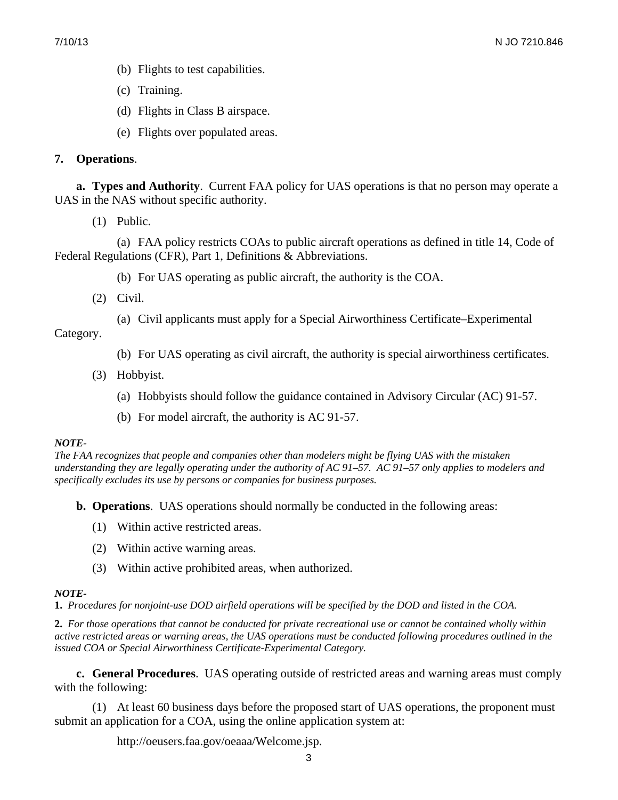- (b) Flights to test capabilities.
- (c) Training.
- (d) Flights in Class B airspace.
- (e) Flights over populated areas.

# **7. Operations**.

 **a. Types and Authority**. Current FAA policy for UAS operations is that no person may operate a UAS in the NAS without specific authority.

(1) Public.

(a) FAA policy restricts COAs to public aircraft operations as defined in title 14, Code of Federal Regulations (CFR), Part 1, Definitions & Abbreviations.

- (b) For UAS operating as public aircraft, the authority is the COA.
- (2) Civil.
	- (a) Civil applicants must apply for a Special Airworthiness Certificate–Experimental

Category.

- (b) For UAS operating as civil aircraft, the authority is special airworthiness certificates.
- (3) Hobbyist.
	- (a) Hobbyists should follow the guidance contained in Advisory Circular (AC) 91-57.
	- (b) For model aircraft, the authority is AC 91-57.

## *NOTE-*

*The FAA recognizes that people and companies other than modelers might be flying UAS with the mistaken understanding they are legally operating under the authority of AC 91–57. AC 91–57 only applies to modelers and specifically excludes its use by persons or companies for business purposes.*

 **b. Operations**. UAS operations should normally be conducted in the following areas:

- (1) Within active restricted areas.
- (2) Within active warning areas.
- (3) Within active prohibited areas, when authorized.

# *NOTE-*

 **1.** *Procedures for nonjoint-use DOD airfield operations will be specified by the DOD and listed in the COA.* 

 **2.** *For those operations that cannot be conducted for private recreational use or cannot be contained wholly within active restricted areas or warning areas, the UAS operations must be conducted following procedures outlined in the issued COA or Special Airworthiness Certificate-Experimental Category.*

 **c. General Procedures**. UAS operating outside of restricted areas and warning areas must comply with the following:

(1) At least 60 business days before the proposed start of UAS operations, the proponent must submit an application for a COA, using the online application system at:

http://oeusers.faa.gov/oeaaa/Welcome.jsp.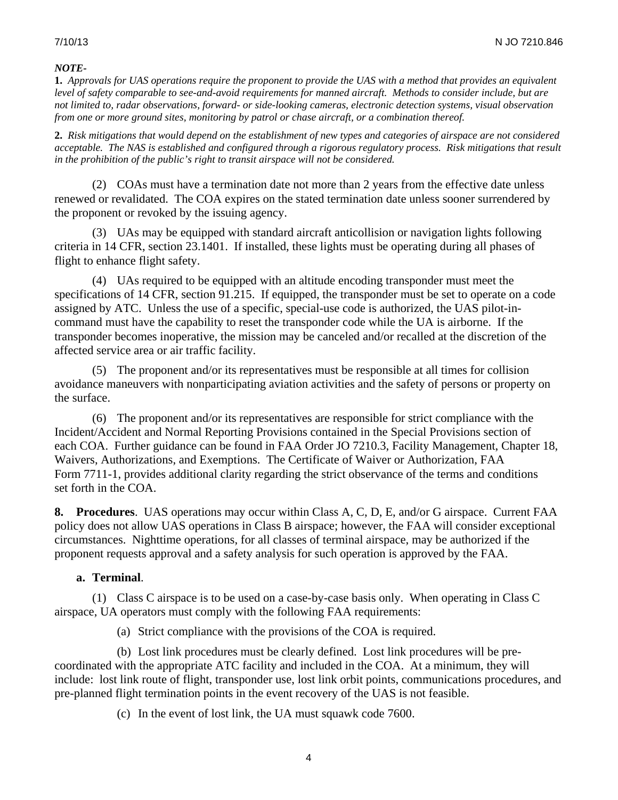#### *NOTE-*

**1.** *Approvals for UAS operations require the proponent to provide the UAS with a method that provides an equivalent level of safety comparable to see-and-avoid requirements for manned aircraft. Methods to consider include, but are not limited to, radar observations, forward- or side-looking cameras, electronic detection systems, visual observation from one or more ground sites, monitoring by patrol or chase aircraft, or a combination thereof.* 

 *acceptable. The NAS is established and configured through a rigorous regulatory process. Risk mitigations that result*  **2.** *Risk mitigations that would depend on the establishment of new types and categories of airspace are not considered in the prohibition of the public's right to transit airspace will not be considered.* 

(2) COAs must have a termination date not more than 2 years from the effective date unless renewed or revalidated. The COA expires on the stated termination date unless sooner surrendered by the proponent or revoked by the issuing agency.

(3) UAs may be equipped with standard aircraft anticollision or navigation lights following criteria in 14 CFR, section 23.1401. If installed, these lights must be operating during all phases of flight to enhance flight safety.

(4) UAs required to be equipped with an altitude encoding transponder must meet the specifications of 14 CFR, section 91.215. If equipped, the transponder must be set to operate on a code assigned by ATC. Unless the use of a specific, special-use code is authorized, the UAS pilot-incommand must have the capability to reset the transponder code while the UA is airborne. If the transponder becomes inoperative, the mission may be canceled and/or recalled at the discretion of the affected service area or air traffic facility.

(5) The proponent and/or its representatives must be responsible at all times for collision avoidance maneuvers with nonparticipating aviation activities and the safety of persons or property on the surface.

(6) The proponent and/or its representatives are responsible for strict compliance with the Incident/Accident and Normal Reporting Provisions contained in the Special Provisions section of each COA. Further guidance can be found in FAA Order JO 7210.3, Facility Management, Chapter 18, Waivers, Authorizations, and Exemptions. The Certificate of Waiver or Authorization, FAA Form 7711-1, provides additional clarity regarding the strict observance of the terms and conditions set forth in the COA.

**8. Procedures**. UAS operations may occur within Class A, C, D, E, and/or G airspace. Current FAA policy does not allow UAS operations in Class B airspace; however, the FAA will consider exceptional circumstances. Nighttime operations, for all classes of terminal airspace, may be authorized if the proponent requests approval and a safety analysis for such operation is approved by the FAA.

## **a. Terminal**.

(1) Class C airspace is to be used on a case-by-case basis only. When operating in Class C airspace, UA operators must comply with the following FAA requirements:

(a) Strict compliance with the provisions of the COA is required.

(b) Lost link procedures must be clearly defined. Lost link procedures will be precoordinated with the appropriate ATC facility and included in the COA. At a minimum, they will include: lost link route of flight, transponder use, lost link orbit points, communications procedures, and pre-planned flight termination points in the event recovery of the UAS is not feasible.

(c) In the event of lost link, the UA must squawk code 7600.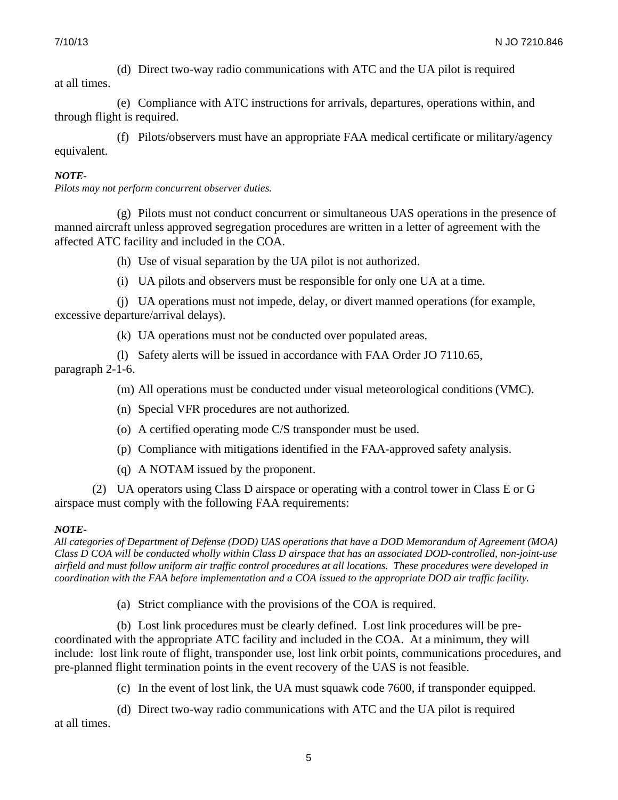(d) Direct two-way radio communications with ATC and the UA pilot is required

at all times.

(e) Compliance with ATC instructions for arrivals, departures, operations within, and through flight is required.

(f) Pilots/observers must have an appropriate FAA medical certificate or military/agency equivalent.

# *NOTE-*

*Pilots may not perform concurrent observer duties.* 

(g) Pilots must not conduct concurrent or simultaneous UAS operations in the presence of manned aircraft unless approved segregation procedures are written in a letter of agreement with the affected ATC facility and included in the COA.

(h) Use of visual separation by the UA pilot is not authorized.

(i) UA pilots and observers must be responsible for only one UA at a time.

(j) UA operations must not impede, delay, or divert manned operations (for example, excessive departure/arrival delays).

(k) UA operations must not be conducted over populated areas.

(l) Safety alerts will be issued in accordance with FAA Order JO 7110.65,

paragraph 2-1-6.

(m) All operations must be conducted under visual meteorological conditions (VMC).

- (n) Special VFR procedures are not authorized.
- (o) A certified operating mode C/S transponder must be used.
- (p) Compliance with mitigations identified in the FAA-approved safety analysis.
- (q) A NOTAM issued by the proponent.

(2) UA operators using Class D airspace or operating with a control tower in Class E or G airspace must comply with the following FAA requirements:

## *NOTE-*

 *All categories of Department of Defense (DOD) UAS operations that have a DOD Memorandum of Agreement (MOA) Class D COA will be conducted wholly within Class D airspace that has an associated DOD-controlled, non-joint-use airfield and must follow uniform air traffic control procedures at all locations. These procedures were developed in coordination with the FAA before implementation and a COA issued to the appropriate DOD air traffic facility.* 

(a) Strict compliance with the provisions of the COA is required.

(b) Lost link procedures must be clearly defined. Lost link procedures will be precoordinated with the appropriate ATC facility and included in the COA. At a minimum, they will include: lost link route of flight, transponder use, lost link orbit points, communications procedures, and pre-planned flight termination points in the event recovery of the UAS is not feasible.

(c) In the event of lost link, the UA must squawk code 7600, if transponder equipped.

(d) Direct two-way radio communications with ATC and the UA pilot is required at all times.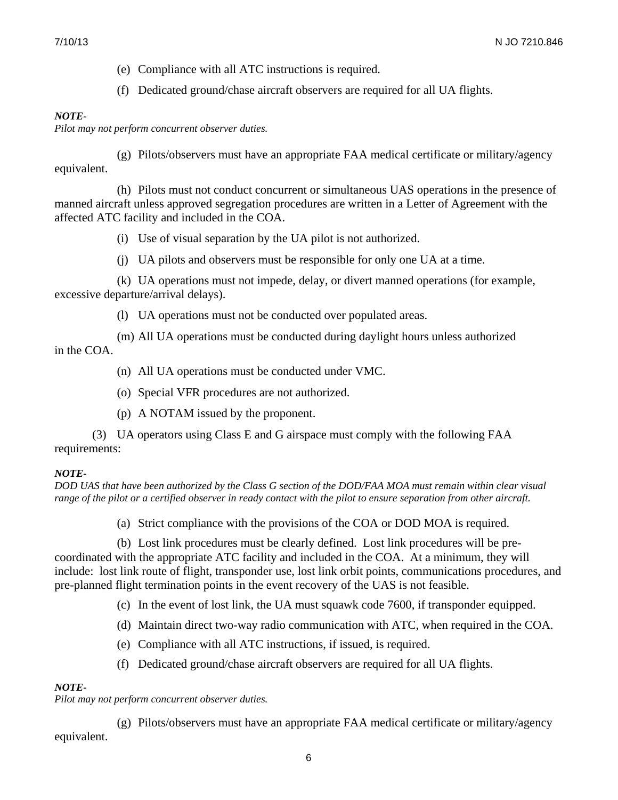(e) Compliance with all ATC instructions is required.

(f) Dedicated ground/chase aircraft observers are required for all UA flights.

#### *NOTE-*

*Pilot may not perform concurrent observer duties.* 

(g) Pilots/observers must have an appropriate FAA medical certificate or military/agency equivalent.

(h) Pilots must not conduct concurrent or simultaneous UAS operations in the presence of manned aircraft unless approved segregation procedures are written in a Letter of Agreement with the affected ATC facility and included in the COA.

(i) Use of visual separation by the UA pilot is not authorized.

(j) UA pilots and observers must be responsible for only one UA at a time.

(k) UA operations must not impede, delay, or divert manned operations (for example, excessive departure/arrival delays).

(l) UA operations must not be conducted over populated areas.

(m) All UA operations must be conducted during daylight hours unless authorized in the COA.

- (n) All UA operations must be conducted under VMC.
- (o) Special VFR procedures are not authorized.
- (p) A NOTAM issued by the proponent.

(3) UA operators using Class E and G airspace must comply with the following FAA requirements:

## *NOTE-*

*DOD UAS that have been authorized by the Class G section of the DOD/FAA MOA must remain within clear visual range of the pilot or a certified observer in ready contact with the pilot to ensure separation from other aircraft.* 

(a) Strict compliance with the provisions of the COA or DOD MOA is required.

(b) Lost link procedures must be clearly defined. Lost link procedures will be precoordinated with the appropriate ATC facility and included in the COA. At a minimum, they will include: lost link route of flight, transponder use, lost link orbit points, communications procedures, and pre-planned flight termination points in the event recovery of the UAS is not feasible.

(c) In the event of lost link, the UA must squawk code 7600, if transponder equipped.

- (d) Maintain direct two-way radio communication with ATC, when required in the COA.
- (e) Compliance with all ATC instructions, if issued, is required.
- (f) Dedicated ground/chase aircraft observers are required for all UA flights.

## *NOTE-*

*Pilot may not perform concurrent observer duties.* 

(g) Pilots/observers must have an appropriate FAA medical certificate or military/agency equivalent.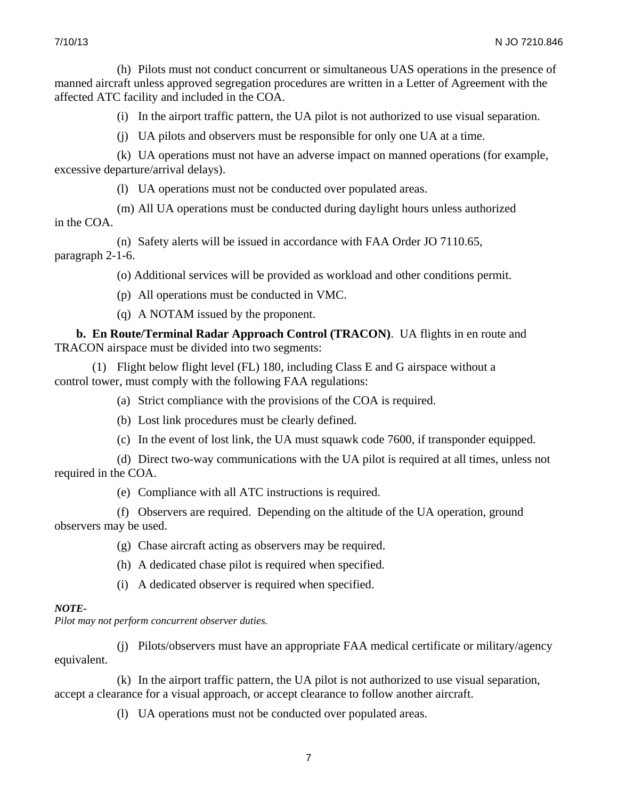(h) Pilots must not conduct concurrent or simultaneous UAS operations in the presence of manned aircraft unless approved segregation procedures are written in a Letter of Agreement with the affected ATC facility and included in the COA.

(i) In the airport traffic pattern, the UA pilot is not authorized to use visual separation.

(j) UA pilots and observers must be responsible for only one UA at a time.

(k) UA operations must not have an adverse impact on manned operations (for example, excessive departure/arrival delays).

(l) UA operations must not be conducted over populated areas.

(m) All UA operations must be conducted during daylight hours unless authorized in the COA.

(n) Safety alerts will be issued in accordance with FAA Order JO 7110.65, paragraph 2-1-6.

(o) Additional services will be provided as workload and other conditions permit.

(p) All operations must be conducted in VMC.

(q) A NOTAM issued by the proponent.

**b. En Route/Terminal Radar Approach Control (TRACON)**. UA flights in en route and TRACON airspace must be divided into two segments:

(1) Flight below flight level (FL) 180, including Class E and G airspace without a control tower, must comply with the following FAA regulations:

(a) Strict compliance with the provisions of the COA is required.

(b) Lost link procedures must be clearly defined.

(c) In the event of lost link, the UA must squawk code 7600, if transponder equipped.

(d) Direct two-way communications with the UA pilot is required at all times, unless not required in the COA.

(e) Compliance with all ATC instructions is required.

(f) Observers are required. Depending on the altitude of the UA operation, ground observers may be used.

(g) Chase aircraft acting as observers may be required.

(h) A dedicated chase pilot is required when specified.

(i) A dedicated observer is required when specified.

## *NOTE-*

*Pilot may not perform concurrent observer duties.* 

(j) Pilots/observers must have an appropriate FAA medical certificate or military/agency equivalent.

(k) In the airport traffic pattern, the UA pilot is not authorized to use visual separation, accept a clearance for a visual approach, or accept clearance to follow another aircraft.

(l) UA operations must not be conducted over populated areas.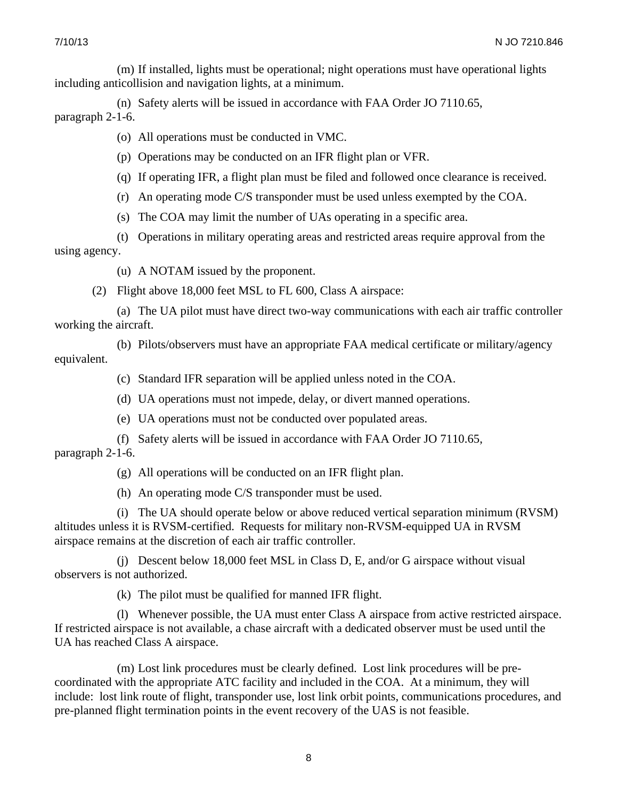(m) If installed, lights must be operational; night operations must have operational lights including anticollision and navigation lights, at a minimum.

(n) Safety alerts will be issued in accordance with FAA Order JO 7110.65, paragraph 2-1-6.

(o) All operations must be conducted in VMC.

(p) Operations may be conducted on an IFR flight plan or VFR.

(q) If operating IFR, a flight plan must be filed and followed once clearance is received.

(r) An operating mode C/S transponder must be used unless exempted by the COA.

(s) The COA may limit the number of UAs operating in a specific area.

(t) Operations in military operating areas and restricted areas require approval from the using agency.

(u) A NOTAM issued by the proponent.

(2) Flight above 18,000 feet MSL to FL 600, Class A airspace:

(a) The UA pilot must have direct two-way communications with each air traffic controller working the aircraft.

(b) Pilots/observers must have an appropriate FAA medical certificate or military/agency equivalent.

(c) Standard IFR separation will be applied unless noted in the COA.

(d) UA operations must not impede, delay, or divert manned operations.

(e) UA operations must not be conducted over populated areas.

(f) Safety alerts will be issued in accordance with FAA Order JO 7110.65,

paragraph 2-1-6.

(g) All operations will be conducted on an IFR flight plan.

(h) An operating mode C/S transponder must be used.

(i) The UA should operate below or above reduced vertical separation minimum (RVSM) altitudes unless it is RVSM-certified. Requests for military non-RVSM-equipped UA in RVSM airspace remains at the discretion of each air traffic controller.

(j) Descent below 18,000 feet MSL in Class D, E, and/or G airspace without visual observers is not authorized.

(k) The pilot must be qualified for manned IFR flight.

(l) Whenever possible, the UA must enter Class A airspace from active restricted airspace. If restricted airspace is not available, a chase aircraft with a dedicated observer must be used until the UA has reached Class A airspace.

(m) Lost link procedures must be clearly defined. Lost link procedures will be precoordinated with the appropriate ATC facility and included in the COA. At a minimum, they will include: lost link route of flight, transponder use, lost link orbit points, communications procedures, and pre-planned flight termination points in the event recovery of the UAS is not feasible.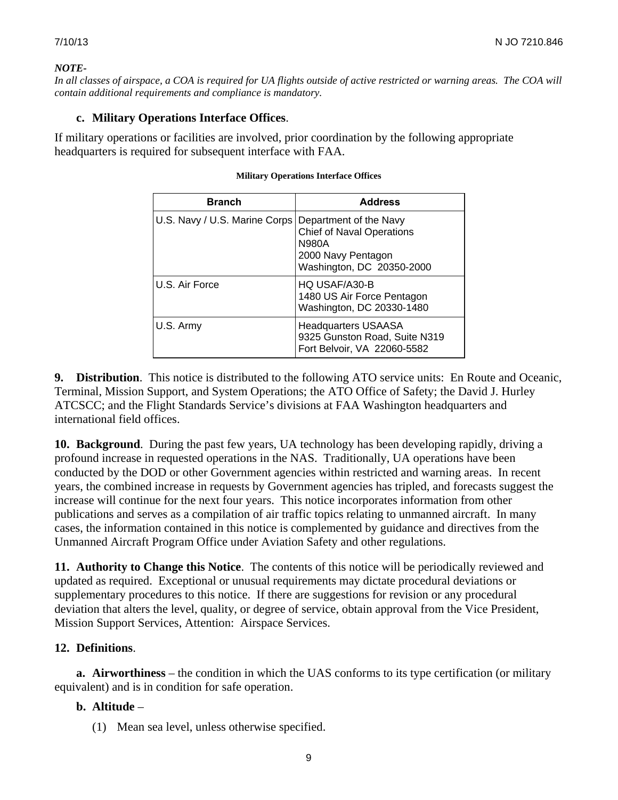#### *NOTE-*

*In all classes of airspace, a COA is required for UA flights outside of active restricted or warning areas. The COA will contain additional requirements and compliance is mandatory.*

## **c. Military Operations Interface Offices**.

If military operations or facilities are involved, prior coordination by the following appropriate headquarters is required for subsequent interface with FAA.

| <b>Branch</b>                                        | <b>Address</b>                                                                               |
|------------------------------------------------------|----------------------------------------------------------------------------------------------|
| U.S. Navy / U.S. Marine Corps Department of the Navy | <b>Chief of Naval Operations</b><br>N980A<br>2000 Navy Pentagon<br>Washington, DC 20350-2000 |
| U.S. Air Force                                       | HQ USAF/A30-B<br>1480 US Air Force Pentagon<br>Washington, DC 20330-1480                     |
| U.S. Army                                            | <b>Headquarters USAASA</b><br>9325 Gunston Road, Suite N319<br>Fort Belvoir, VA 22060-5582   |

#### **Military Operations Interface Offices**

**9. Distribution**. This notice is distributed to the following ATO service units: En Route and Oceanic, Terminal, Mission Support, and System Operations; the ATO Office of Safety; the David J. Hurley ATCSCC; and the Flight Standards Service's divisions at FAA Washington headquarters and international field offices.

**10. Background**. During the past few years, UA technology has been developing rapidly, driving a profound increase in requested operations in the NAS. Traditionally, UA operations have been conducted by the DOD or other Government agencies within restricted and warning areas. In recent years, the combined increase in requests by Government agencies has tripled, and forecasts suggest the increase will continue for the next four years. This notice incorporates information from other publications and serves as a compilation of air traffic topics relating to unmanned aircraft. In many cases, the information contained in this notice is complemented by guidance and directives from the Unmanned Aircraft Program Office under Aviation Safety and other regulations.

**11. Authority to Change this Notice**. The contents of this notice will be periodically reviewed and updated as required. Exceptional or unusual requirements may dictate procedural deviations or supplementary procedures to this notice. If there are suggestions for revision or any procedural deviation that alters the level, quality, or degree of service, obtain approval from the Vice President, Mission Support Services, Attention: Airspace Services.

# **12. Definitions**.

**a. Airworthiness** – the condition in which the UAS conforms to its type certification (or military equivalent) and is in condition for safe operation.

# **b. Altitude** –

(1) Mean sea level, unless otherwise specified.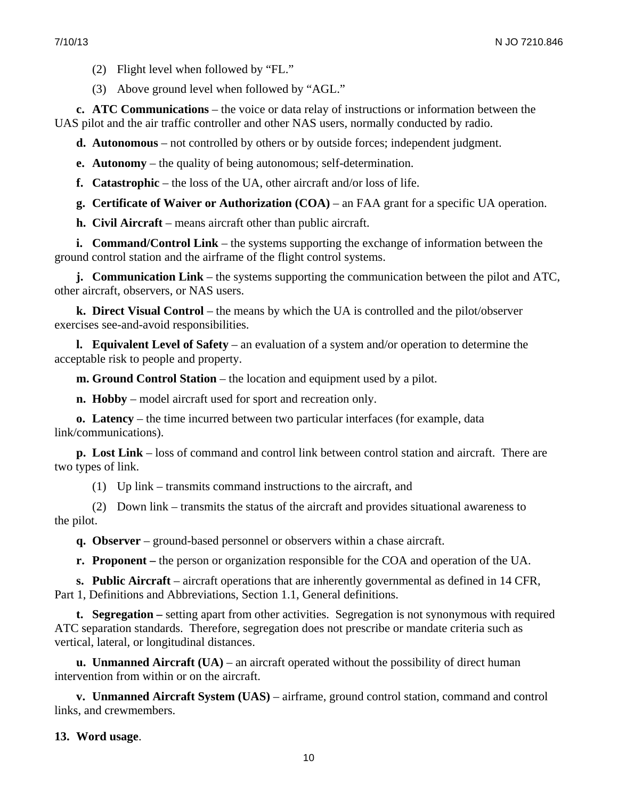(2) Flight level when followed by "FL."

(3) Above ground level when followed by "AGL."

**c. ATC Communications** – the voice or data relay of instructions or information between the UAS pilot and the air traffic controller and other NAS users, normally conducted by radio.

**d. Autonomous** – not controlled by others or by outside forces; independent judgment.

**e. Autonomy** – the quality of being autonomous; self-determination.

**f. Catastrophic** – the loss of the UA, other aircraft and/or loss of life.

**g. Certificate of Waiver or Authorization (COA)** – an FAA grant for a specific UA operation.

**h. Civil Aircraft** – means aircraft other than public aircraft.

**i. Command/Control Link** – the systems supporting the exchange of information between the ground control station and the airframe of the flight control systems.

**j. Communication Link** – the systems supporting the communication between the pilot and ATC, other aircraft, observers, or NAS users.

**k. Direct Visual Control** – the means by which the UA is controlled and the pilot/observer exercises see-and-avoid responsibilities.

**l. Equivalent Level of Safety** – an evaluation of a system and/or operation to determine the acceptable risk to people and property.

**m. Ground Control Station** – the location and equipment used by a pilot.

**n. Hobby** – model aircraft used for sport and recreation only.

**o. Latency** – the time incurred between two particular interfaces (for example, data link/communications).

**p. Lost Link** – loss of command and control link between control station and aircraft. There are two types of link.

(1) Up link – transmits command instructions to the aircraft, and

(2) Down link – transmits the status of the aircraft and provides situational awareness to the pilot.

**q. Observer** – ground-based personnel or observers within a chase aircraft.

**r. Proponent –** the person or organization responsible for the COA and operation of the UA.

**s. Public Aircraft** – aircraft operations that are inherently governmental as defined in 14 CFR, Part 1, Definitions and Abbreviations, Section 1.1, General definitions.

**t. Segregation –** setting apart from other activities. Segregation is not synonymous with required ATC separation standards. Therefore, segregation does not prescribe or mandate criteria such as vertical, lateral, or longitudinal distances.

**u. Unmanned Aircraft (UA)** – an aircraft operated without the possibility of direct human intervention from within or on the aircraft.

**v. Unmanned Aircraft System (UAS)** – airframe, ground control station, command and control links, and crewmembers.

## **13. Word usage**.